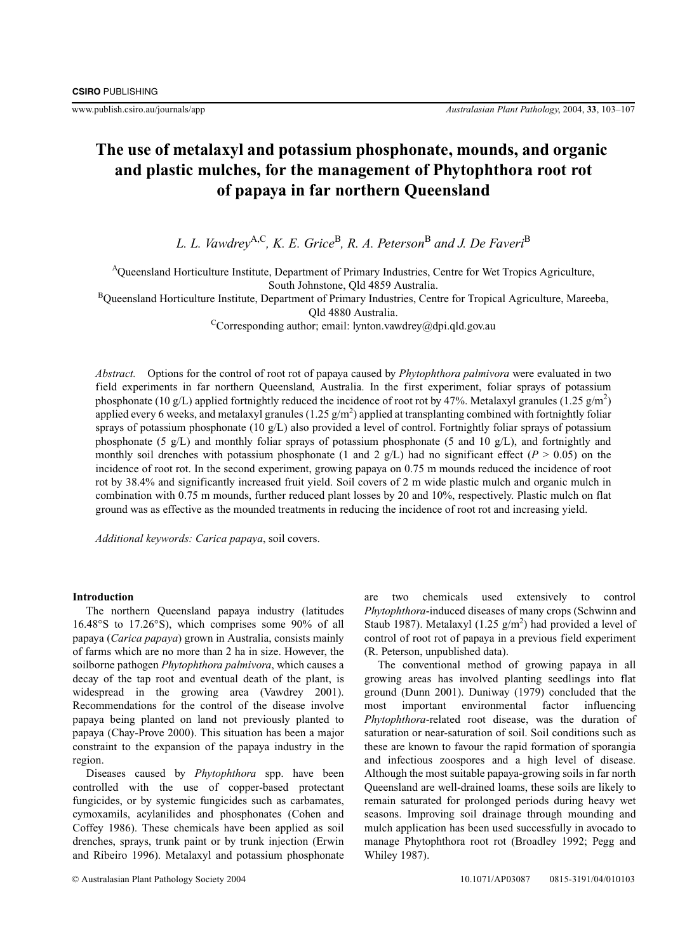# **The use of metalaxyl and potassium phosphonate, mounds, and organic and plastic mulches, for the management of Phytophthora root rot of papaya in far northern Queensland**

*L. L. Vawdrey*A,C*, K. E. Grice*B*, R. A. Peterson*<sup>B</sup> *and J. De Faveri*<sup>B</sup>

<sup>A</sup>Queensland Horticulture Institute, Department of Primary Industries, Centre for Wet Tropics Agriculture,

South Johnstone, Qld 4859 Australia.

<sup>B</sup>Queensland Horticulture Institute, Department of Primary Industries, Centre for Tropical Agriculture, Mareeba,

Qld 4880 Australia.

<sup>C</sup>Corresponding author; email: lynton.vawdrey@dpi.qld.gov.au

*Abstract.* Options for the control of root rot of papaya caused by *Phytophthora palmivora* were evaluated in two field experiments in far northern Queensland, Australia. In the first experiment, foliar sprays of potassium phosphonate (10 g/L) applied fortnightly reduced the incidence of root rot by 47%. Metalaxyl granules (1.25 g/m<sup>2</sup>) applied every 6 weeks, and metalaxyl granules (1.25  $g/m^2$ ) applied at transplanting combined with fortnightly foliar sprays of potassium phosphonate (10  $g/L$ ) also provided a level of control. Fortnightly foliar sprays of potassium phosphonate (5 g/L) and monthly foliar sprays of potassium phosphonate (5 and 10 g/L), and fortnightly and monthly soil drenches with potassium phosphonate (1 and 2 g/L) had no significant effect ( $P > 0.05$ ) on the incidence of root rot. In the second experiment, growing papaya on 0.75 m mounds reduced the incidence of root rot by 38.4% and significantly increased fruit yield. Soil covers of 2 m wide plastic mulch and organic mulch in combination with 0.75 m mounds, further reduced plant losses by 20 and 10%, respectively. Plastic mulch on flat ground was as effective as the mounded treatments in reducing the incidence of root rot and increasing yield.

*Additional keywords: Carica papaya*, soil covers.

## **Introduction**

The northern Queensland papaya industry (latitudes 16.48°S to 17.26°S), which comprises some 90% of all papaya (*Carica papaya*) grown in Australia, consists mainly of farms which are no more than 2 ha in size. However, the soilborne pathogen *Phytophthora palmivora*, which causes a decay of the tap root and eventual death of the plant, is widespread in the growing area (Vawdrey 2001). Recommendations for the control of the disease involve papaya being planted on land not previously planted to papaya (Chay-Prove 2000). This situation has been a major constraint to the expansion of the papaya industry in the region.

Diseases caused by *Phytophthora* spp. have been controlled with the use of copper-based protectant fungicides, or by systemic fungicides such as carbamates, cymoxamils, acylanilides and phosphonates (Cohen and Coffey 1986). These chemicals have been applied as soil drenches, sprays, trunk paint or by trunk injection (Erwin and Ribeiro 1996). Metalaxyl and potassium phosphonate are two chemicals used extensively to control *Phytophthora*-induced diseases of many crops (Schwinn and Staub 1987). Metalaxyl  $(1.25 \text{ g/m}^2)$  had provided a level of control of root rot of papaya in a previous field experiment (R. Peterson, unpublished data).

The conventional method of growing papaya in all growing areas has involved planting seedlings into flat ground (Dunn 2001). Duniway (1979) concluded that the most important environmental factor influencing *Phytophthora*-related root disease, was the duration of saturation or near-saturation of soil. Soil conditions such as these are known to favour the rapid formation of sporangia and infectious zoospores and a high level of disease. Although the most suitable papaya-growing soils in far north Queensland are well-drained loams, these soils are likely to remain saturated for prolonged periods during heavy wet seasons. Improving soil drainage through mounding and mulch application has been used successfully in avocado to manage Phytophthora root rot (Broadley 1992; Pegg and Whiley 1987).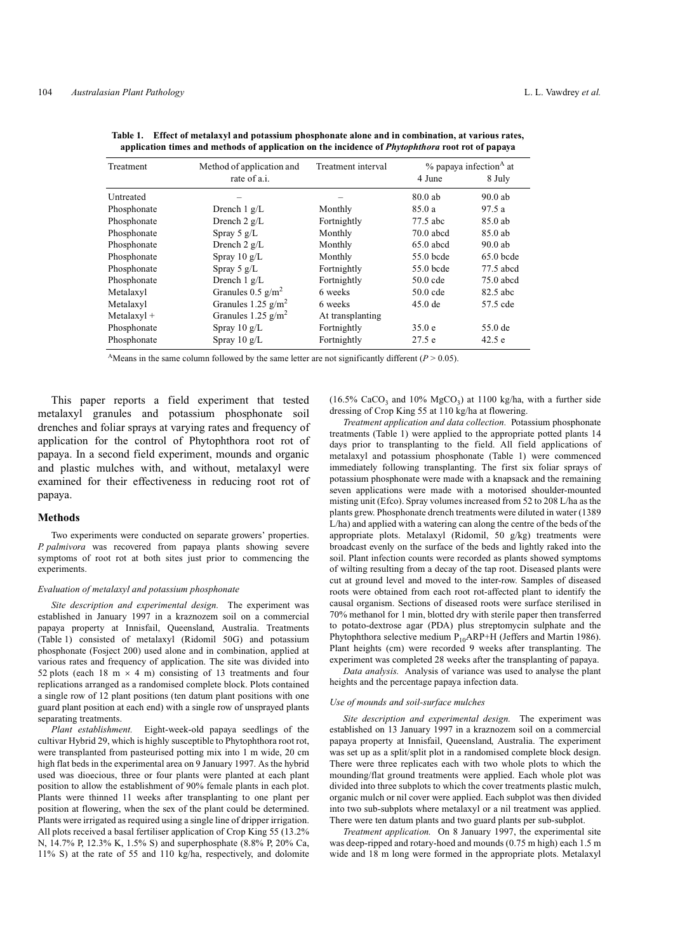| Treatment     | Method of application and       | Treatment interval | $%$ papaya infection <sup>A</sup> at |             |
|---------------|---------------------------------|--------------------|--------------------------------------|-------------|
|               | rate of a.i.                    |                    | 4 June                               | 8 July      |
| Untreated     |                                 |                    | 80.0ab                               | $90.0$ ab   |
| Phosphonate   | Drench $1 g/L$                  | Monthly            | 85.0 a                               | 97.5 a      |
| Phosphonate   | Drench $2 g/L$                  | Fortnightly        | 77.5 abc                             | 85.0 ab     |
| Phosphonate   | Spray 5 $g/L$                   | Monthly            | $70.0$ abcd                          | 85.0 ab     |
| Phosphonate   | Drench $2 g/L$                  | Monthly            | $65.0$ abcd                          | $90.0$ ab   |
| Phosphonate   | Spray $10 \text{ g/L}$          | Monthly            | 55.0 bcde                            | $65.0$ bcde |
| Phosphonate   | Spray 5 $g/L$                   | Fortnightly        | 55.0 bcde                            | 77.5 abcd   |
| Phosphonate   | Drench $1 g/L$                  | Fortnightly        | 50.0 cde                             | $75.0$ abcd |
| Metalaxyl     | Granules $0.5$ g/m <sup>2</sup> | 6 weeks            | 50.0 cde                             | 82.5 abc    |
| Metalaxyl     | Granules 1.25 $g/m2$            | 6 weeks            | $45.0$ de                            | 57.5 cde    |
| $Metalaxyl +$ | Granules 1.25 $g/m2$            | At transplanting   |                                      |             |
| Phosphonate   | Spray $10 \text{ g/L}$          | Fortnightly        | 35.0 e                               | 55.0 de     |
| Phosphonate   | Spray $10 \text{ g/L}$          | Fortnightly        | 27.5 e                               | 42.5 e      |
|               |                                 |                    |                                      |             |

**Table 1. Effect of metalaxyl and potassium phosphonate alone and in combination, at various rates, application times and methods of application on the incidence of** *Phytophthora* **root rot of papaya**

<sup>A</sup>Means in the same column followed by the same letter are not significantly different ( $P > 0.05$ ).

This paper reports a field experiment that tested metalaxyl granules and potassium phosphonate soil drenches and foliar sprays at varying rates and frequency of application for the control of Phytophthora root rot of papaya. In a second field experiment, mounds and organic and plastic mulches with, and without, metalaxyl were examined for their effectiveness in reducing root rot of papaya.

## **Methods**

Two experiments were conducted on separate growers' properties. *P. palmivora* was recovered from papaya plants showing severe symptoms of root rot at both sites just prior to commencing the experiments.

#### *Evaluation of metalaxyl and potassium phosphonate*

*Site description and experimental design.* The experiment was established in January 1997 in a kraznozem soil on a commercial papaya property at Innisfail, Queensland, Australia. Treatments (Table 1) consisted of metalaxyl (Ridomil 50G) and potassium phosphonate (Fosject 200) used alone and in combination, applied at various rates and frequency of application. The site was divided into 52 plots (each 18 m  $\times$  4 m) consisting of 13 treatments and four replications arranged as a randomised complete block. Plots contained a single row of 12 plant positions (ten datum plant positions with one guard plant position at each end) with a single row of unsprayed plants separating treatments.

*Plant establishment.* Eight-week-old papaya seedlings of the cultivar Hybrid 29, which is highly susceptible to Phytophthora root rot, were transplanted from pasteurised potting mix into 1 m wide, 20 cm high flat beds in the experimental area on 9 January 1997. As the hybrid used was dioecious, three or four plants were planted at each plant position to allow the establishment of 90% female plants in each plot. Plants were thinned 11 weeks after transplanting to one plant per position at flowering, when the sex of the plant could be determined. Plants were irrigated as required using a single line of dripper irrigation. All plots received a basal fertiliser application of Crop King 55 (13.2% N, 14.7% P, 12.3% K, 1.5% S) and superphosphate (8.8% P, 20% Ca, 11% S) at the rate of 55 and 110 kg/ha, respectively, and dolomite

(16.5% CaCO<sub>3</sub> and 10% MgCO<sub>3</sub>) at 1100 kg/ha, with a further side dressing of Crop King 55 at 110 kg/ha at flowering.

*Treatment application and data collection.* Potassium phosphonate treatments (Table 1) were applied to the appropriate potted plants 14 days prior to transplanting to the field. All field applications of metalaxyl and potassium phosphonate (Table 1) were commenced immediately following transplanting. The first six foliar sprays of potassium phosphonate were made with a knapsack and the remaining seven applications were made with a motorised shoulder-mounted misting unit (Efco). Spray volumes increased from 52 to 208 L/ha as the plants grew. Phosphonate drench treatments were diluted in water (1389 L/ha) and applied with a watering can along the centre of the beds of the appropriate plots. Metalaxyl (Ridomil, 50 g/kg) treatments were broadcast evenly on the surface of the beds and lightly raked into the soil. Plant infection counts were recorded as plants showed symptoms of wilting resulting from a decay of the tap root. Diseased plants were cut at ground level and moved to the inter-row. Samples of diseased roots were obtained from each root rot-affected plant to identify the causal organism. Sections of diseased roots were surface sterilised in 70% methanol for 1 min, blotted dry with sterile paper then transferred to potato-dextrose agar (PDA) plus streptomycin sulphate and the Phytophthora selective medium  $P_{10}ARP+H$  (Jeffers and Martin 1986). Plant heights (cm) were recorded 9 weeks after transplanting. The experiment was completed 28 weeks after the transplanting of papaya.

*Data analysis.* Analysis of variance was used to analyse the plant heights and the percentage papaya infection data.

#### *Use of mounds and soil-surface mulches*

*Site description and experimental design.* The experiment was established on 13 January 1997 in a kraznozem soil on a commercial papaya property at Innisfail, Queensland, Australia. The experiment was set up as a split/split plot in a randomised complete block design. There were three replicates each with two whole plots to which the mounding/flat ground treatments were applied. Each whole plot was divided into three subplots to which the cover treatments plastic mulch, organic mulch or nil cover were applied. Each subplot was then divided into two sub-subplots where metalaxyl or a nil treatment was applied. There were ten datum plants and two guard plants per sub-subplot.

*Treatment application.* On 8 January 1997, the experimental site was deep-ripped and rotary-hoed and mounds (0.75 m high) each 1.5 m wide and 18 m long were formed in the appropriate plots. Metalaxyl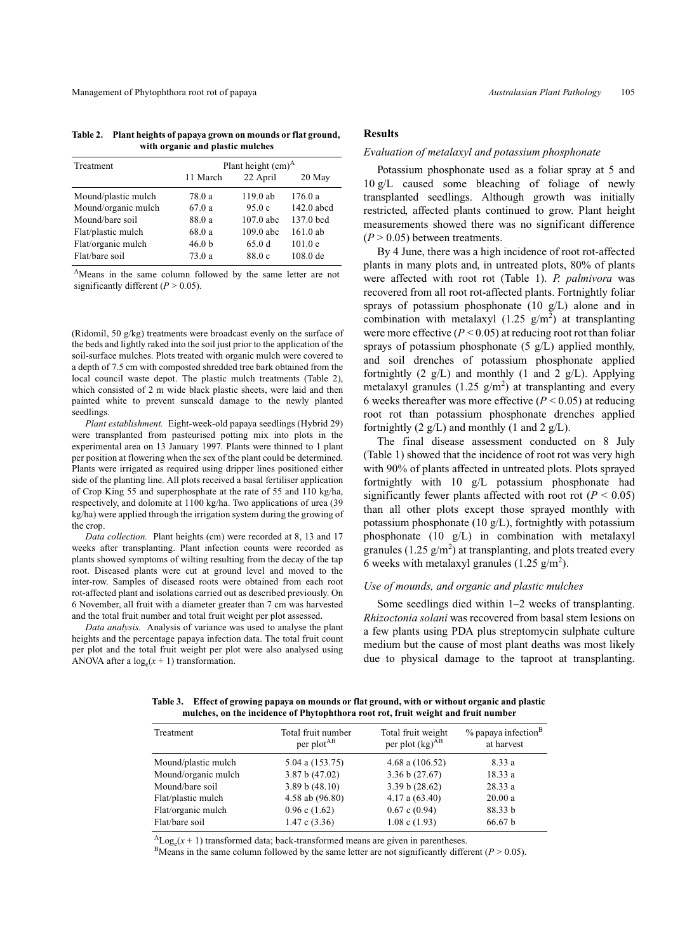Management of Phytophthora root rot of papaya *Australasian Plant Pathology* 105

**Table 2. Plant heights of papaya grown on mounds or flat ground, with organic and plastic mulches**

| Treatment           | Plant height $(cm)A$ |             |              |  |
|---------------------|----------------------|-------------|--------------|--|
|                     | 11 March             | 22 April    | 20 May       |  |
| Mound/plastic mulch | 78.0 a               | 119.0 ab    | 176.0a       |  |
| Mound/organic mulch | 67.0a                | 95.0c       | $142.0$ abcd |  |
| Mound/bare soil     | 88.0 a               | $107.0$ abc | 137.0 bcd    |  |
| Flat/plastic mulch  | 68.0 a               | $109.0$ abc | $161.0$ ab   |  |
| Flat/organic mulch  | 46.0 <sub>b</sub>    | 65.0d       | 101.0 e      |  |
| Flat/bare soil      | 73.0a                | 88.0 c      | $108.0$ de   |  |

<sup>&</sup>lt;sup>A</sup>Means in the same column followed by the same letter are not significantly different  $(P > 0.05)$ .

(Ridomil, 50 g/kg) treatments were broadcast evenly on the surface of the beds and lightly raked into the soil just prior to the application of the soil-surface mulches. Plots treated with organic mulch were covered to a depth of 7.5 cm with composted shredded tree bark obtained from the local council waste depot. The plastic mulch treatments (Table 2), which consisted of 2 m wide black plastic sheets, were laid and then painted white to prevent sunscald damage to the newly planted seedlings.

*Plant establishment.* Eight-week-old papaya seedlings (Hybrid 29) were transplanted from pasteurised potting mix into plots in the experimental area on 13 January 1997. Plants were thinned to 1 plant per position at flowering when the sex of the plant could be determined. Plants were irrigated as required using dripper lines positioned either side of the planting line. All plots received a basal fertiliser application of Crop King 55 and superphosphate at the rate of 55 and 110 kg/ha, respectively, and dolomite at 1100 kg/ha. Two applications of urea (39 kg/ha) were applied through the irrigation system during the growing of the crop.

*Data collection.* Plant heights (cm) were recorded at 8, 13 and 17 weeks after transplanting. Plant infection counts were recorded as plants showed symptoms of wilting resulting from the decay of the tap root. Diseased plants were cut at ground level and moved to the inter-row. Samples of diseased roots were obtained from each root rot-affected plant and isolations carried out as described previously. On 6 November, all fruit with a diameter greater than 7 cm was harvested and the total fruit number and total fruit weight per plot assessed.

*Data analysis.* Analysis of variance was used to analyse the plant heights and the percentage papaya infection data. The total fruit count per plot and the total fruit weight per plot were also analysed using ANOVA after a  $log_e(x + 1)$  transformation.

# **Results**

## *Evaluation of metalaxyl and potassium phosphonate*

Potassium phosphonate used as a foliar spray at 5 and 10 g/L caused some bleaching of foliage of newly transplanted seedlings. Although growth was initially restricted, affected plants continued to grow. Plant height measurements showed there was no significant difference  $(P > 0.05)$  between treatments.

By 4 June, there was a high incidence of root rot-affected plants in many plots and, in untreated plots, 80% of plants were affected with root rot (Table 1). *P. palmivora* was recovered from all root rot-affected plants. Fortnightly foliar sprays of potassium phosphonate (10 g/L) alone and in combination with metalaxyl  $(1.25 \text{ g/m}^2)$  at transplanting were more effective  $(P < 0.05)$  at reducing root rot than foliar sprays of potassium phosphonate (5 g/L) applied monthly, and soil drenches of potassium phosphonate applied fortnightly  $(2 \text{ g/L})$  and monthly  $(1 \text{ and } 2 \text{ g/L})$ . Applying metalaxyl granules (1.25  $g/m<sup>2</sup>$ ) at transplanting and every 6 weeks thereafter was more effective  $(P < 0.05)$  at reducing root rot than potassium phosphonate drenches applied fortnightly  $(2 \text{ g/L})$  and monthly  $(1 \text{ and } 2 \text{ g/L})$ .

The final disease assessment conducted on 8 July (Table 1) showed that the incidence of root rot was very high with 90% of plants affected in untreated plots. Plots sprayed fortnightly with 10 g/L potassium phosphonate had significantly fewer plants affected with root rot  $(P < 0.05)$ than all other plots except those sprayed monthly with potassium phosphonate  $(10 \text{ g/L})$ , fortnightly with potassium phosphonate (10 g/L) in combination with metalaxyl granules (1.25  $g/m<sup>2</sup>$ ) at transplanting, and plots treated every 6 weeks with metalaxyl granules (1.25  $g/m<sup>2</sup>$ ).

# *Use of mounds, and organic and plastic mulches*

Some seedlings died within 1–2 weeks of transplanting. *Rhizoctonia solani* was recovered from basal stem lesions on a few plants using PDA plus streptomycin sulphate culture medium but the cause of most plant deaths was most likely due to physical damage to the taproot at transplanting.

**Table 3. Effect of growing papaya on mounds or flat ground, with or without organic and plastic mulches, on the incidence of Phytophthora root rot, fruit weight and fruit number**

| Treatment           | Total fruit number<br>per plot <sup>AB</sup> | Total fruit weight<br>per plot $(kg)^{AB}$ | $%$ papaya infection <sup>B</sup><br>at harvest |
|---------------------|----------------------------------------------|--------------------------------------------|-------------------------------------------------|
| Mound/plastic mulch | 5.04 a $(153.75)$                            | 4.68 a $(106.52)$                          | 8.33 a                                          |
| Mound/organic mulch | 3.87 b (47.02)                               | 3.36 b (27.67)                             | 18.33a                                          |
| Mound/bare soil     | 3.89 b (48.10)                               | 3.39 b (28.62)                             | 28.33a                                          |
| Flat/plastic mulch  | 4.58 ab (96.80)                              | $4.17$ a $(63.40)$                         | 20.00a                                          |
| Flat/organic mulch  | $0.96$ c $(1.62)$                            | 0.67c(0.94)                                | 88.33 b                                         |
| Flat/bare soil      | 1.47c(3.36)                                  | $1.08$ c $(1.93)$                          | 66.67 b                                         |

 ${}^{A}$ Log<sub>e</sub>( $x$  + 1) transformed data; back-transformed means are given in parentheses.<br><sup>B</sup>Means in the same column followed by the same letter are not significantly different (*P* > 0.05).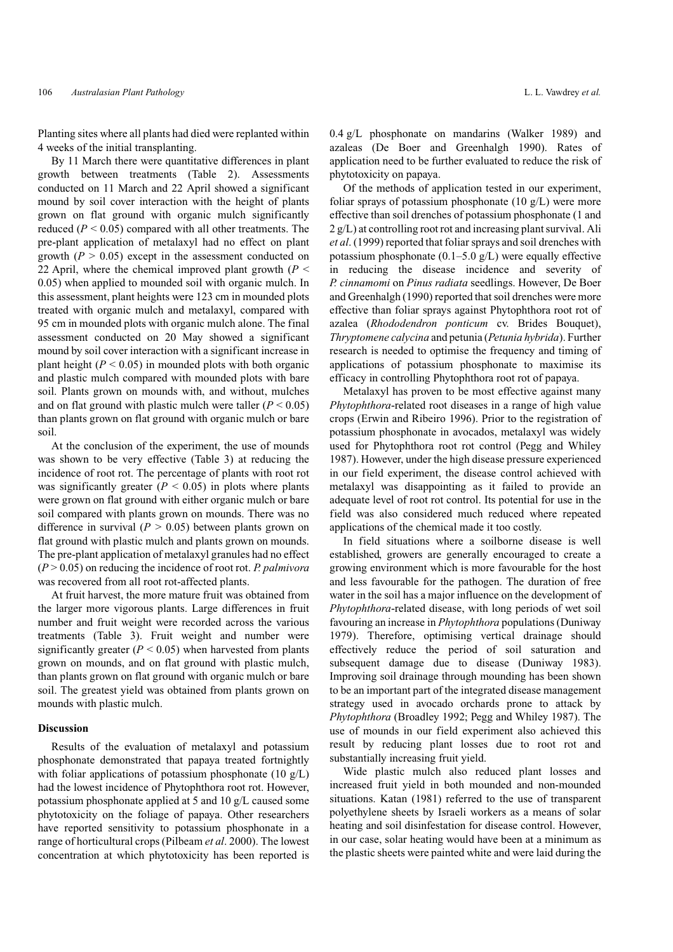Planting sites where all plants had died were replanted within

4 weeks of the initial transplanting. By 11 March there were quantitative differences in plant growth between treatments (Table 2). Assessments conducted on 11 March and 22 April showed a significant mound by soil cover interaction with the height of plants grown on flat ground with organic mulch significantly reduced  $(P < 0.05)$  compared with all other treatments. The pre-plant application of metalaxyl had no effect on plant growth  $(P > 0.05)$  except in the assessment conducted on 22 April, where the chemical improved plant growth (*P* < 0.05) when applied to mounded soil with organic mulch. In this assessment, plant heights were 123 cm in mounded plots treated with organic mulch and metalaxyl, compared with 95 cm in mounded plots with organic mulch alone. The final assessment conducted on 20 May showed a significant mound by soil cover interaction with a significant increase in plant height  $(P < 0.05)$  in mounded plots with both organic and plastic mulch compared with mounded plots with bare soil. Plants grown on mounds with, and without, mulches and on flat ground with plastic mulch were taller  $(P < 0.05)$ than plants grown on flat ground with organic mulch or bare soil.

At the conclusion of the experiment, the use of mounds was shown to be very effective (Table 3) at reducing the incidence of root rot. The percentage of plants with root rot was significantly greater  $(P < 0.05)$  in plots where plants were grown on flat ground with either organic mulch or bare soil compared with plants grown on mounds. There was no difference in survival  $(P > 0.05)$  between plants grown on flat ground with plastic mulch and plants grown on mounds. The pre-plant application of metalaxyl granules had no effect (*P* > 0.05) on reducing the incidence of root rot. *P. palmivora* was recovered from all root rot-affected plants.

At fruit harvest, the more mature fruit was obtained from the larger more vigorous plants. Large differences in fruit number and fruit weight were recorded across the various treatments (Table 3). Fruit weight and number were significantly greater  $(P < 0.05)$  when harvested from plants grown on mounds, and on flat ground with plastic mulch, than plants grown on flat ground with organic mulch or bare soil. The greatest yield was obtained from plants grown on mounds with plastic mulch.

### **Discussion**

Results of the evaluation of metalaxyl and potassium phosphonate demonstrated that papaya treated fortnightly with foliar applications of potassium phosphonate (10  $g/L$ ) had the lowest incidence of Phytophthora root rot. However, potassium phosphonate applied at 5 and 10 g/L caused some phytotoxicity on the foliage of papaya. Other researchers have reported sensitivity to potassium phosphonate in a range of horticultural crops (Pilbeam *et al*. 2000). The lowest concentration at which phytotoxicity has been reported is

0.4 g/L phosphonate on mandarins (Walker 1989) and azaleas (De Boer and Greenhalgh 1990). Rates of application need to be further evaluated to reduce the risk of phytotoxicity on papaya.

Of the methods of application tested in our experiment, foliar sprays of potassium phosphonate  $(10 \text{ g/L})$  were more effective than soil drenches of potassium phosphonate (1 and 2 g/L) at controlling root rot and increasing plant survival. Ali *et al*. (1999) reported that foliar sprays and soil drenches with potassium phosphonate  $(0.1–5.0 \text{ g/L})$  were equally effective in reducing the disease incidence and severity of *P. cinnamomi* on *Pinus radiata* seedlings. However, De Boer and Greenhalgh (1990) reported that soil drenches were more effective than foliar sprays against Phytophthora root rot of azalea (*Rhododendron ponticum* cv. Brides Bouquet), *Thryptomene calycina* and petunia (*Petunia hybrida*). Further research is needed to optimise the frequency and timing of applications of potassium phosphonate to maximise its efficacy in controlling Phytophthora root rot of papaya.

Metalaxyl has proven to be most effective against many *Phytophthora*-related root diseases in a range of high value crops (Erwin and Ribeiro 1996). Prior to the registration of potassium phosphonate in avocados, metalaxyl was widely used for Phytophthora root rot control (Pegg and Whiley 1987). However, under the high disease pressure experienced in our field experiment, the disease control achieved with metalaxyl was disappointing as it failed to provide an adequate level of root rot control. Its potential for use in the field was also considered much reduced where repeated applications of the chemical made it too costly.

In field situations where a soilborne disease is well established, growers are generally encouraged to create a growing environment which is more favourable for the host and less favourable for the pathogen. The duration of free water in the soil has a major influence on the development of *Phytophthora*-related disease, with long periods of wet soil favouring an increase in *Phytophthora* populations (Duniway 1979). Therefore, optimising vertical drainage should effectively reduce the period of soil saturation and subsequent damage due to disease (Duniway 1983). Improving soil drainage through mounding has been shown to be an important part of the integrated disease management strategy used in avocado orchards prone to attack by *Phytophthora* (Broadley 1992; Pegg and Whiley 1987). The use of mounds in our field experiment also achieved this result by reducing plant losses due to root rot and substantially increasing fruit yield.

Wide plastic mulch also reduced plant losses and increased fruit yield in both mounded and non-mounded situations. Katan (1981) referred to the use of transparent polyethylene sheets by Israeli workers as a means of solar heating and soil disinfestation for disease control. However, in our case, solar heating would have been at a minimum as the plastic sheets were painted white and were laid during the